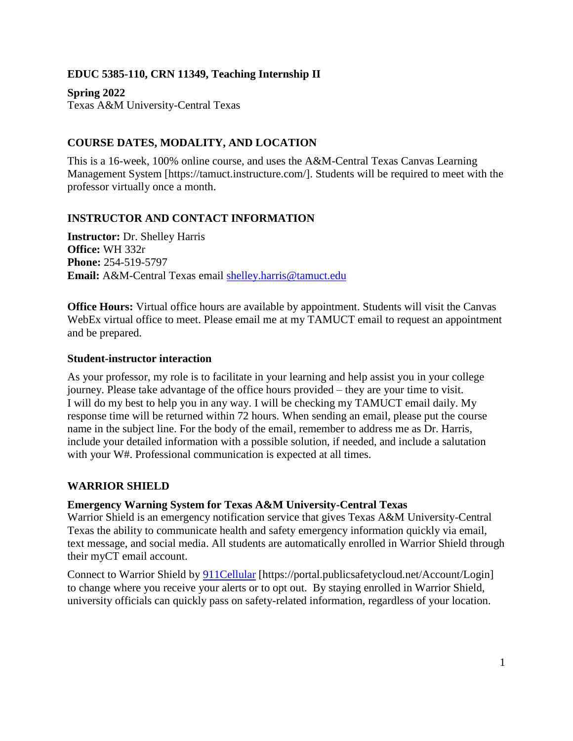#### **EDUC 5385-110, CRN 11349, Teaching Internship II**

**Spring 2022** Texas A&M University-Central Texas

### **COURSE DATES, MODALITY, AND LOCATION**

This is a 16-week, 100% online course, and uses the A&M-Central Texas Canvas Learning Management System [https://tamuct.instructure.com/]. Students will be required to meet with the professor virtually once a month.

# **INSTRUCTOR AND CONTACT INFORMATION**

**Instructor:** Dr. Shelley Harris **Office:** WH 332r **Phone:** 254-519-5797 **Email:** A&M-Central Texas email [shelley.harris@tamuct.edu](mailto:shelley.harris@tamuct.edu)

**Office Hours:** Virtual office hours are available by appointment. Students will visit the Canvas WebEx virtual office to meet. Please email me at my TAMUCT email to request an appointment and be prepared.

#### **Student-instructor interaction**

As your professor, my role is to facilitate in your learning and help assist you in your college journey. Please take advantage of the office hours provided – they are your time to visit. I will do my best to help you in any way. I will be checking my TAMUCT email daily. My response time will be returned within 72 hours. When sending an email, please put the course name in the subject line. For the body of the email, remember to address me as Dr. Harris, include your detailed information with a possible solution, if needed, and include a salutation with your W#. Professional communication is expected at all times.

### **WARRIOR SHIELD**

#### **Emergency Warning System for Texas A&M University-Central Texas**

Warrior Shield is an emergency notification service that gives Texas A&M University-Central Texas the ability to communicate health and safety emergency information quickly via email, text message, and social media. All students are automatically enrolled in Warrior Shield through their myCT email account.

Connect to Warrior Shield by [911Cellular](https://portal.publicsafetycloud.net/Texas-AM-Central/alert-management) [https://portal.publicsafetycloud.net/Account/Login] to change where you receive your alerts or to opt out. By staying enrolled in Warrior Shield, university officials can quickly pass on safety-related information, regardless of your location.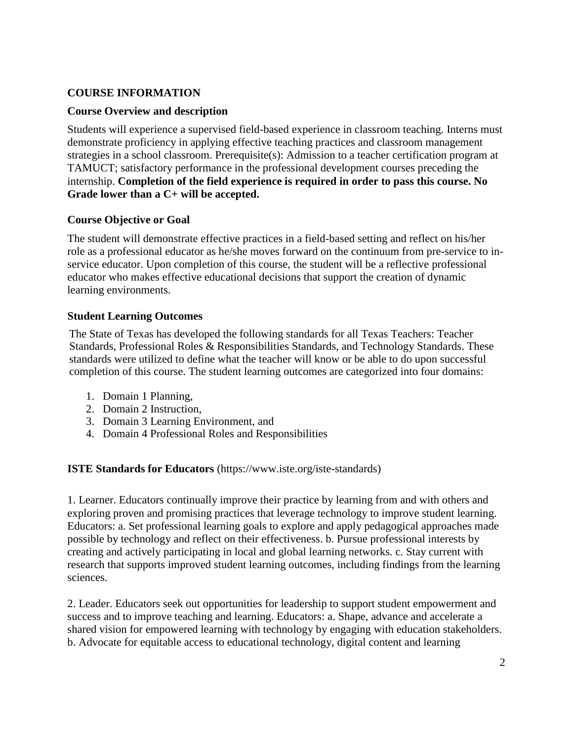### **COURSE INFORMATION**

### **Course Overview and description**

Students will experience a supervised field-based experience in classroom teaching. Interns must demonstrate proficiency in applying effective teaching practices and classroom management strategies in a school classroom. Prerequisite(s): Admission to a teacher certification program at TAMUCT; satisfactory performance in the professional development courses preceding the internship. **Completion of the field experience is required in order to pass this course. No Grade lower than a C+ will be accepted.**

### **Course Objective or Goal**

The student will demonstrate effective practices in a field-based setting and reflect on his/her role as a professional educator as he/she moves forward on the continuum from pre-service to inservice educator. Upon completion of this course, the student will be a reflective professional educator who makes effective educational decisions that support the creation of dynamic learning environments.

#### **Student Learning Outcomes**

The State of Texas has developed the following standards for all Texas Teachers: Teacher Standards, Professional Roles & Responsibilities Standards, and Technology Standards. These standards were utilized to define what the teacher will know or be able to do upon successful completion of this course. The student learning outcomes are categorized into four domains:

- 1. Domain 1 Planning,
- 2. Domain 2 Instruction,
- 3. Domain 3 Learning Environment, and
- 4. Domain 4 Professional Roles and Responsibilities

#### **ISTE Standards for Educators** (https://www.iste.org/iste-standards)

1. Learner. Educators continually improve their practice by learning from and with others and exploring proven and promising practices that leverage technology to improve student learning. Educators: a. Set professional learning goals to explore and apply pedagogical approaches made possible by technology and reflect on their effectiveness. b. Pursue professional interests by creating and actively participating in local and global learning networks. c. Stay current with research that supports improved student learning outcomes, including findings from the learning sciences.

2. Leader. Educators seek out opportunities for leadership to support student empowerment and success and to improve teaching and learning. Educators: a. Shape, advance and accelerate a shared vision for empowered learning with technology by engaging with education stakeholders. b. Advocate for equitable access to educational technology, digital content and learning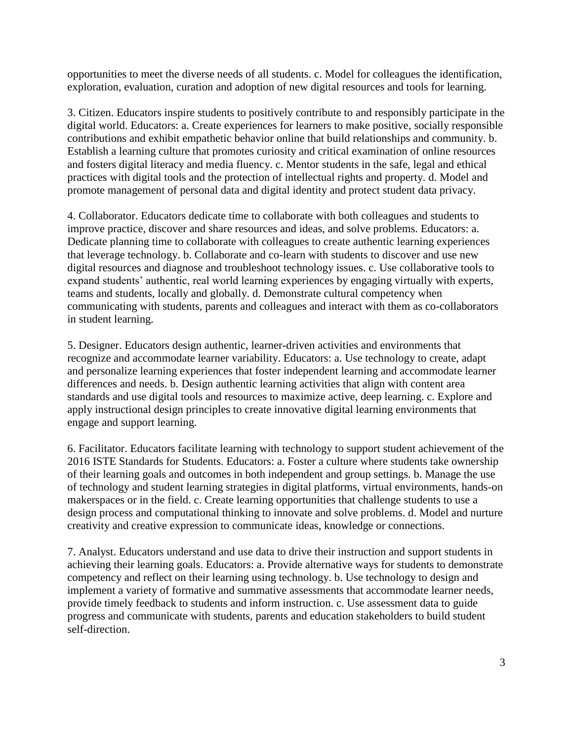opportunities to meet the diverse needs of all students. c. Model for colleagues the identification, exploration, evaluation, curation and adoption of new digital resources and tools for learning.

3. Citizen. Educators inspire students to positively contribute to and responsibly participate in the digital world. Educators: a. Create experiences for learners to make positive, socially responsible contributions and exhibit empathetic behavior online that build relationships and community. b. Establish a learning culture that promotes curiosity and critical examination of online resources and fosters digital literacy and media fluency. c. Mentor students in the safe, legal and ethical practices with digital tools and the protection of intellectual rights and property. d. Model and promote management of personal data and digital identity and protect student data privacy.

4. Collaborator. Educators dedicate time to collaborate with both colleagues and students to improve practice, discover and share resources and ideas, and solve problems. Educators: a. Dedicate planning time to collaborate with colleagues to create authentic learning experiences that leverage technology. b. Collaborate and co-learn with students to discover and use new digital resources and diagnose and troubleshoot technology issues. c. Use collaborative tools to expand students' authentic, real world learning experiences by engaging virtually with experts, teams and students, locally and globally. d. Demonstrate cultural competency when communicating with students, parents and colleagues and interact with them as co-collaborators in student learning.

5. Designer. Educators design authentic, learner-driven activities and environments that recognize and accommodate learner variability. Educators: a. Use technology to create, adapt and personalize learning experiences that foster independent learning and accommodate learner differences and needs. b. Design authentic learning activities that align with content area standards and use digital tools and resources to maximize active, deep learning. c. Explore and apply instructional design principles to create innovative digital learning environments that engage and support learning.

6. Facilitator. Educators facilitate learning with technology to support student achievement of the 2016 ISTE Standards for Students. Educators: a. Foster a culture where students take ownership of their learning goals and outcomes in both independent and group settings. b. Manage the use of technology and student learning strategies in digital platforms, virtual environments, hands-on makerspaces or in the field. c. Create learning opportunities that challenge students to use a design process and computational thinking to innovate and solve problems. d. Model and nurture creativity and creative expression to communicate ideas, knowledge or connections.

7. Analyst. Educators understand and use data to drive their instruction and support students in achieving their learning goals. Educators: a. Provide alternative ways for students to demonstrate competency and reflect on their learning using technology. b. Use technology to design and implement a variety of formative and summative assessments that accommodate learner needs, provide timely feedback to students and inform instruction. c. Use assessment data to guide progress and communicate with students, parents and education stakeholders to build student self-direction.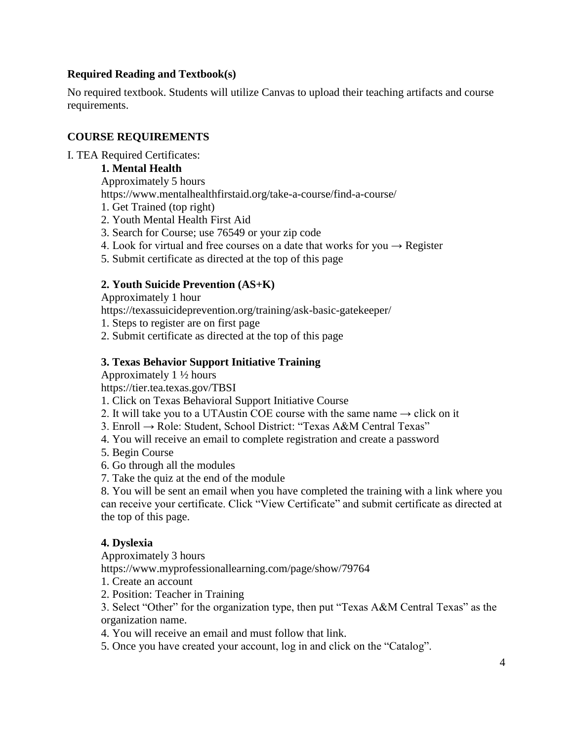# **Required Reading and Textbook(s)**

No required textbook. Students will utilize Canvas to upload their teaching artifacts and course requirements.

# **COURSE REQUIREMENTS**

I. TEA Required Certificates:

#### **1. Mental Health**

- Approximately 5 hours https://www.mentalhealthfirstaid.org/take-a-course/find-a-course/
- 
- 1. Get Trained (top right)
- 2. Youth Mental Health First Aid
- 3. Search for Course; use 76549 or your zip code
- 4. Look for virtual and free courses on a date that works for you  $\rightarrow$  Register
- 5. Submit certificate as directed at the top of this page

### **2. Youth Suicide Prevention (AS+K)**

Approximately 1 hour

https://texassuicideprevention.org/training/ask-basic-gatekeeper/

- 1. Steps to register are on first page
- 2. Submit certificate as directed at the top of this page

### **3. Texas Behavior Support Initiative Training**

Approximately 1 ½ hours

https://tier.tea.texas.gov/TBSI

- 1. Click on Texas Behavioral Support Initiative Course
- 2. It will take you to a UTAustin COE course with the same name  $\rightarrow$  click on it
- 3. Enroll → Role: Student, School District: "Texas A&M Central Texas"
- 4. You will receive an email to complete registration and create a password
- 5. Begin Course
- 6. Go through all the modules
- 7. Take the quiz at the end of the module

8. You will be sent an email when you have completed the training with a link where you can receive your certificate. Click "View Certificate" and submit certificate as directed at the top of this page.

### **4. Dyslexia**

Approximately 3 hours

https://www.myprofessionallearning.com/page/show/79764

- 1. Create an account
- 2. Position: Teacher in Training

3. Select "Other" for the organization type, then put "Texas A&M Central Texas" as the organization name.

- 4. You will receive an email and must follow that link.
- 5. Once you have created your account, log in and click on the "Catalog".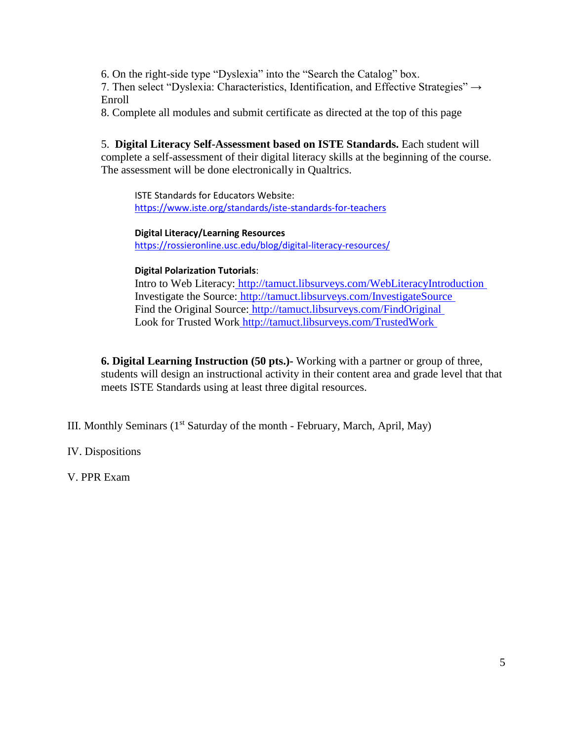6. On the right-side type "Dyslexia" into the "Search the Catalog" box.

7. Then select "Dyslexia: Characteristics, Identification, and Effective Strategies" → Enroll

8. Complete all modules and submit certificate as directed at the top of this page

5. **Digital Literacy Self-Assessment based on ISTE Standards.** Each student will complete a self-assessment of their digital literacy skills at the beginning of the course. The assessment will be done electronically in Qualtrics.

ISTE Standards for Educators Website: [https://www.iste.org/standards/iste-standards-for-teachers](https://nam04.safelinks.protection.outlook.com/?url=https%3A%2F%2Fwww.iste.org%2Fstandards%2Fiste-standards-for-teachers&data=04%7C01%7Cshelley.harris%40tamuct.edu%7C0df00f3711884f035aa208d9619a397b%7C9eed4e3000f744849ff193ad8005acec%7C0%7C0%7C637648137446987605%7CUnknown%7CTWFpbGZsb3d8eyJWIjoiMC4wLjAwMDAiLCJQIjoiV2luMzIiLCJBTiI6Ik1haWwiLCJXVCI6Mn0%3D%7C1000&sdata=ac3wukagz6EDxk%2Bl%2BuCKuvKmE%2B%2BYhhO6I9txpPoq%2B3A%3D&reserved=0)

#### **Digital Literacy/Learning Resources**

<https://rossieronline.usc.edu/blog/digital-literacy-resources/>

#### **Digital Polarization Tutorials**:

Intro to Web Literacy[:](https://nam04.safelinks.protection.outlook.com/?url=http%3A%2F%2Ftamuct.libsurveys.com%2FWebLiteracyIntroduction&data=04%7C01%7Cshelley.harris%40tamuct.edu%7C0df00f3711884f035aa208d9619a397b%7C9eed4e3000f744849ff193ad8005acec%7C0%7C0%7C637648137446997571%7CUnknown%7CTWFpbGZsb3d8eyJWIjoiMC4wLjAwMDAiLCJQIjoiV2luMzIiLCJBTiI6Ik1haWwiLCJXVCI6Mn0%3D%7C1000&sdata=Mrk2Qmcx8eq%2B3BSxm3OnH7aBRCgM%2FFCy4mOKfyjpC%2FA%3D&reserved=0) [http://tamuct.libsurveys.com/WebLiteracyIntroduction](https://nam04.safelinks.protection.outlook.com/?url=http%3A%2F%2Ftamuct.libsurveys.com%2FWebLiteracyIntroduction&data=04%7C01%7Cshelley.harris%40tamuct.edu%7C0df00f3711884f035aa208d9619a397b%7C9eed4e3000f744849ff193ad8005acec%7C0%7C0%7C637648137446997571%7CUnknown%7CTWFpbGZsb3d8eyJWIjoiMC4wLjAwMDAiLCJQIjoiV2luMzIiLCJBTiI6Ik1haWwiLCJXVCI6Mn0%3D%7C1000&sdata=Mrk2Qmcx8eq%2B3BSxm3OnH7aBRCgM%2FFCy4mOKfyjpC%2FA%3D&reserved=0) Investigate the Source: [http://tamuct.libsurveys.com/InvestigateSource](https://nam04.safelinks.protection.outlook.com/?url=http%3A%2F%2Ftamuct.libsurveys.com%2FInvestigateSource&data=04%7C01%7Cshelley.harris%40tamuct.edu%7C0df00f3711884f035aa208d9619a397b%7C9eed4e3000f744849ff193ad8005acec%7C0%7C0%7C637648137447007521%7CUnknown%7CTWFpbGZsb3d8eyJWIjoiMC4wLjAwMDAiLCJQIjoiV2luMzIiLCJBTiI6Ik1haWwiLCJXVCI6Mn0%3D%7C1000&sdata=rrljNiU63GiOTF6pAytP4RStzVPFZ9IPlioA7qTMKuM%3D&reserved=0) Find the Original Source: [http://tamuct.libsurveys.com/FindOriginal](https://nam04.safelinks.protection.outlook.com/?url=http%3A%2F%2Ftamuct.libsurveys.com%2FFindOriginal.&data=04%7C01%7Cshelley.harris%40tamuct.edu%7C0df00f3711884f035aa208d9619a397b%7C9eed4e3000f744849ff193ad8005acec%7C0%7C0%7C637648137447017479%7CUnknown%7CTWFpbGZsb3d8eyJWIjoiMC4wLjAwMDAiLCJQIjoiV2luMzIiLCJBTiI6Ik1haWwiLCJXVCI6Mn0%3D%7C1000&sdata=wT7Z138t4FAMdub75lEAj5l%2BKAxEpyIrZno9KD6mOog%3D&reserved=0) Look for Trusted Work [http://tamuct.libsurveys.com/TrustedWork](https://nam04.safelinks.protection.outlook.com/?url=http%3A%2F%2Ftamuct.libsurveys.com%2FTrustedWork&data=04%7C01%7Cshelley.harris%40tamuct.edu%7C0df00f3711884f035aa208d9619a397b%7C9eed4e3000f744849ff193ad8005acec%7C0%7C0%7C637648137447027433%7CUnknown%7CTWFpbGZsb3d8eyJWIjoiMC4wLjAwMDAiLCJQIjoiV2luMzIiLCJBTiI6Ik1haWwiLCJXVCI6Mn0%3D%7C1000&sdata=Fh0tsS1BqxY%2FQiOTkqT8CcfQFE5ESOPdweVBFObpIJE%3D&reserved=0)

**6. Digital Learning Instruction (50 pts.)-** Working with a partner or group of three, students will design an instructional activity in their content area and grade level that that meets ISTE Standards using at least three digital resources.

- III. Monthly Seminars (1<sup>st</sup> Saturday of the month February, March, April, May)
- IV. Dispositions

V. PPR Exam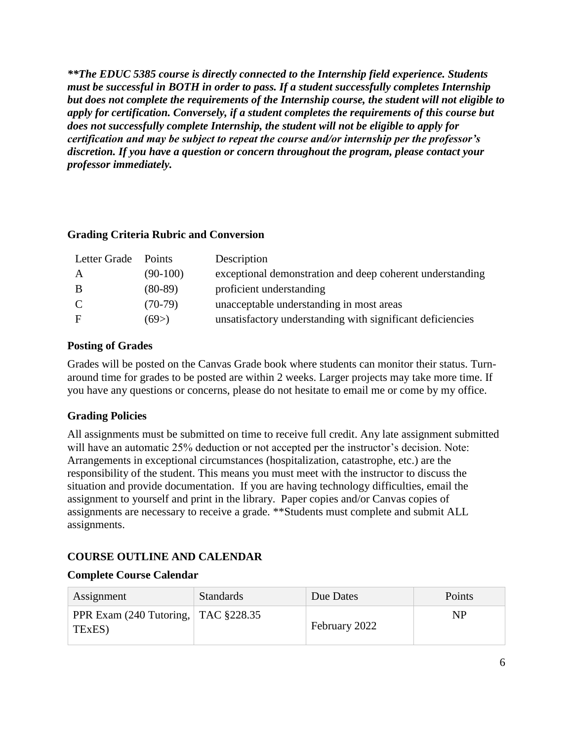*\*\*The EDUC 5385 course is directly connected to the Internship field experience. Students must be successful in BOTH in order to pass. If a student successfully completes Internship but does not complete the requirements of the Internship course, the student will not eligible to apply for certification. Conversely, if a student completes the requirements of this course but does not successfully complete Internship, the student will not be eligible to apply for certification and may be subject to repeat the course and/or internship per the professor's discretion. If you have a question or concern throughout the program, please contact your professor immediately.* 

# **Grading Criteria Rubric and Conversion**

| Letter Grade Points |            | Description                                                |
|---------------------|------------|------------------------------------------------------------|
| A                   | $(90-100)$ | exceptional demonstration and deep coherent understanding  |
| B                   | $(80-89)$  | proficient understanding                                   |
| C                   | $(70-79)$  | unacceptable understanding in most areas                   |
| $\mathbf{F}$        | (69)       | unsatisfactory understanding with significant deficiencies |

### **Posting of Grades**

Grades will be posted on the Canvas Grade book where students can monitor their status. Turnaround time for grades to be posted are within 2 weeks. Larger projects may take more time. If you have any questions or concerns, please do not hesitate to email me or come by my office.

### **Grading Policies**

All assignments must be submitted on time to receive full credit. Any late assignment submitted will have an automatic 25% deduction or not accepted per the instructor's decision. Note: Arrangements in exceptional circumstances (hospitalization, catastrophe, etc.) are the responsibility of the student. This means you must meet with the instructor to discuss the situation and provide documentation. If you are having technology difficulties, email the assignment to yourself and print in the library. Paper copies and/or Canvas copies of assignments are necessary to receive a grade. \*\*Students must complete and submit ALL assignments.

# **COURSE OUTLINE AND CALENDAR**

### **Complete Course Calendar**

| Assignment                                                          | <b>Standards</b> | Due Dates     | Points |
|---------------------------------------------------------------------|------------------|---------------|--------|
| <b>PPR Exam (240 Tutoring, TAC <math>\S 228.35</math></b><br>TExES) |                  | February 2022 | NP     |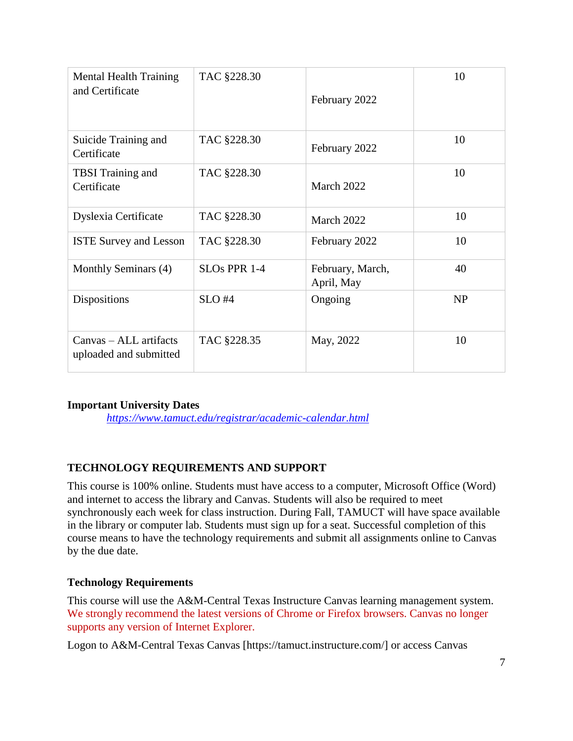| <b>Mental Health Training</b><br>and Certificate | TAC §228.30              | February 2022                  | 10 |
|--------------------------------------------------|--------------------------|--------------------------------|----|
| Suicide Training and<br>Certificate              | TAC §228.30              | February 2022                  | 10 |
| <b>TBSI</b> Training and<br>Certificate          | TAC §228.30              | March 2022                     | 10 |
| Dyslexia Certificate                             | TAC §228.30              | March 2022                     | 10 |
| <b>ISTE Survey and Lesson</b>                    | TAC §228.30              | February 2022                  | 10 |
| Monthly Seminars (4)                             | SLO <sub>s</sub> PPR 1-4 | February, March,<br>April, May | 40 |
| <b>Dispositions</b>                              | $SLO$ #4                 | Ongoing                        | NP |
| Canvas - ALL artifacts<br>uploaded and submitted | TAC §228.35              | May, 2022                      | 10 |

### **Important University Dates**

*<https://www.tamuct.edu/registrar/academic-calendar.html>*

# **TECHNOLOGY REQUIREMENTS AND SUPPORT**

This course is 100% online. Students must have access to a computer, Microsoft Office (Word) and internet to access the library and Canvas. Students will also be required to meet synchronously each week for class instruction. During Fall, TAMUCT will have space available in the library or computer lab. Students must sign up for a seat. Successful completion of this course means to have the technology requirements and submit all assignments online to Canvas by the due date.

### **Technology Requirements**

This course will use the A&M-Central Texas Instructure Canvas learning management system. We strongly recommend the latest versions of Chrome or Firefox browsers. Canvas no longer supports any version of Internet Explorer.

Logon to A&M-Central Texas Canvas [https://tamuct.instructure.com/] or access Canvas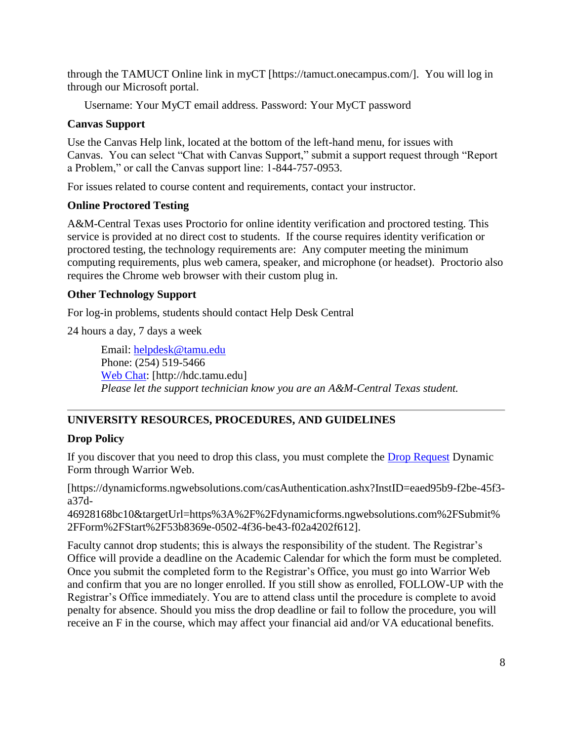through the TAMUCT Online link in myCT [https://tamuct.onecampus.com/]. You will log in through our Microsoft portal.

Username: Your MyCT email address. Password: Your MyCT password

### **Canvas Support**

Use the Canvas Help link, located at the bottom of the left-hand menu, for issues with Canvas. You can select "Chat with Canvas Support," submit a support request through "Report a Problem," or call the Canvas support line: 1-844-757-0953.

For issues related to course content and requirements, contact your instructor.

# **Online Proctored Testing**

A&M-Central Texas uses Proctorio for online identity verification and proctored testing. This service is provided at no direct cost to students. If the course requires identity verification or proctored testing, the technology requirements are: Any computer meeting the minimum computing requirements, plus web camera, speaker, and microphone (or headset). Proctorio also requires the Chrome web browser with their custom plug in.

# **Other Technology Support**

For log-in problems, students should contact Help Desk Central

24 hours a day, 7 days a week

Email: [helpdesk@tamu.edu](mailto:helpdesk@tamu.edu) Phone: (254) 519-5466 [Web Chat:](http://hdc.tamu.edu/) [http://hdc.tamu.edu] *Please let the support technician know you are an A&M-Central Texas student.*

# **UNIVERSITY RESOURCES, PROCEDURES, AND GUIDELINES**

# **Drop Policy**

If you discover that you need to drop this class, you must complete the [Drop Request](https://dynamicforms.ngwebsolutions.com/casAuthentication.ashx?InstID=eaed95b9-f2be-45f3-a37d-46928168bc10&targetUrl=https%3A%2F%2Fdynamicforms.ngwebsolutions.com%2FSubmit%2FForm%2FStart%2F53b8369e-0502-4f36-be43-f02a4202f612) Dynamic Form through Warrior Web.

[https://dynamicforms.ngwebsolutions.com/casAuthentication.ashx?InstID=eaed95b9-f2be-45f3 a37d-

46928168bc10&targetUrl=https%3A%2F%2Fdynamicforms.ngwebsolutions.com%2FSubmit% 2FForm%2FStart%2F53b8369e-0502-4f36-be43-f02a4202f612].

Faculty cannot drop students; this is always the responsibility of the student. The Registrar's Office will provide a deadline on the Academic Calendar for which the form must be completed. Once you submit the completed form to the Registrar's Office, you must go into Warrior Web and confirm that you are no longer enrolled. If you still show as enrolled, FOLLOW-UP with the Registrar's Office immediately. You are to attend class until the procedure is complete to avoid penalty for absence. Should you miss the drop deadline or fail to follow the procedure, you will receive an F in the course, which may affect your financial aid and/or VA educational benefits.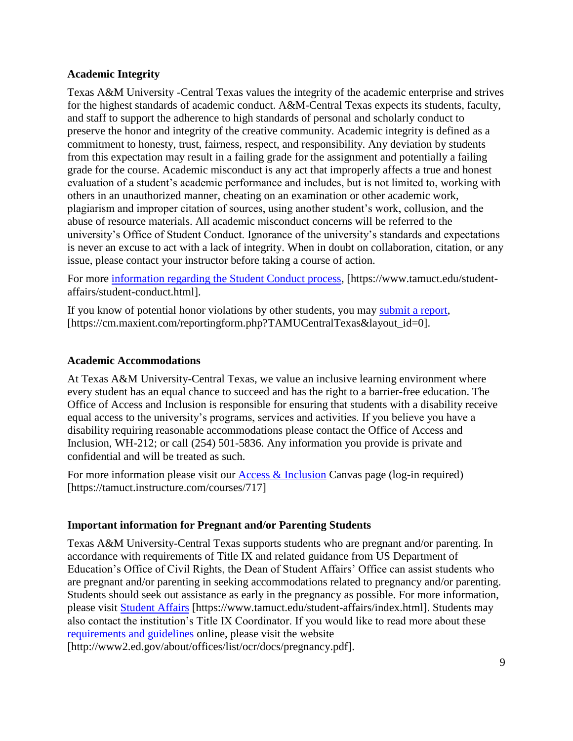#### **Academic Integrity**

Texas A&M University -Central Texas values the integrity of the academic enterprise and strives for the highest standards of academic conduct. A&M-Central Texas expects its students, faculty, and staff to support the adherence to high standards of personal and scholarly conduct to preserve the honor and integrity of the creative community. Academic integrity is defined as a commitment to honesty, trust, fairness, respect, and responsibility. Any deviation by students from this expectation may result in a failing grade for the assignment and potentially a failing grade for the course. Academic misconduct is any act that improperly affects a true and honest evaluation of a student's academic performance and includes, but is not limited to, working with others in an unauthorized manner, cheating on an examination or other academic work, plagiarism and improper citation of sources, using another student's work, collusion, and the abuse of resource materials. All academic misconduct concerns will be referred to the university's Office of Student Conduct. Ignorance of the university's standards and expectations is never an excuse to act with a lack of integrity. When in doubt on collaboration, citation, or any issue, please contact your instructor before taking a course of action.

For more [information regarding the Student Conduct process,](https://www.tamuct.edu/student-affairs/student-conduct.html) [https://www.tamuct.edu/studentaffairs/student-conduct.html].

If you know of potential honor violations by other students, you may [submit a report,](https://cm.maxient.com/reportingform.php?TAMUCentralTexas&layout_id=0) [https://cm.maxient.com/reportingform.php?TAMUCentralTexas&layout\_id=0].

#### **Academic Accommodations**

At Texas A&M University-Central Texas, we value an inclusive learning environment where every student has an equal chance to succeed and has the right to a barrier-free education. The Office of Access and Inclusion is responsible for ensuring that students with a disability receive equal access to the university's programs, services and activities. If you believe you have a disability requiring reasonable accommodations please contact the Office of Access and Inclusion, WH-212; or call (254) 501-5836. Any information you provide is private and confidential and will be treated as such.

For more information please visit our [Access & Inclusion](https://tamuct.instructure.com/courses/717) Canvas page (log-in required) [https://tamuct.instructure.com/courses/717]

### **Important information for Pregnant and/or Parenting Students**

Texas A&M University-Central Texas supports students who are pregnant and/or parenting. In accordance with requirements of Title IX and related guidance from US Department of Education's Office of Civil Rights, the Dean of Student Affairs' Office can assist students who are pregnant and/or parenting in seeking accommodations related to pregnancy and/or parenting. Students should seek out assistance as early in the pregnancy as possible. For more information, please visit [Student Affairs](https://www.tamuct.edu/student-affairs/index.html) [https://www.tamuct.edu/student-affairs/index.html]. Students may also contact the institution's Title IX Coordinator. If you would like to read more about these [requirements and guidelines](http://www2.ed.gov/about/offices/list/ocr/docs/pregnancy.pdf) online, please visit the website [http://www2.ed.gov/about/offices/list/ocr/docs/pregnancy.pdf].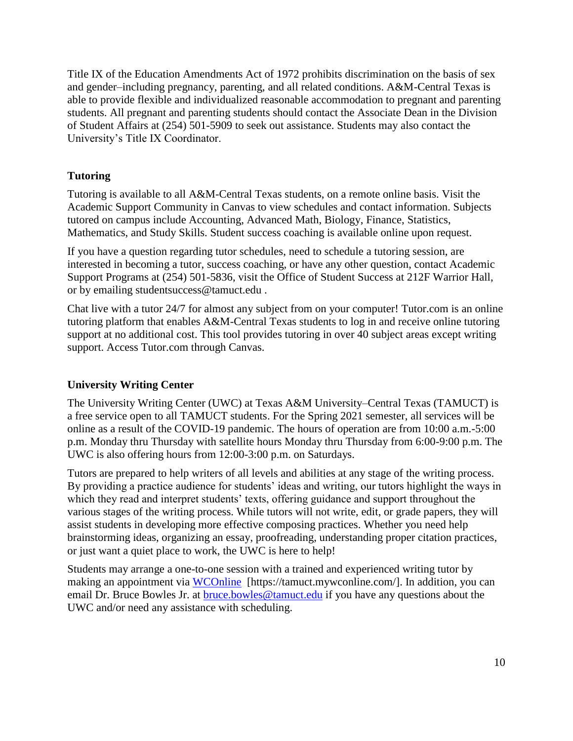Title IX of the Education Amendments Act of 1972 prohibits discrimination on the basis of sex and gender–including pregnancy, parenting, and all related conditions. A&M-Central Texas is able to provide flexible and individualized reasonable accommodation to pregnant and parenting students. All pregnant and parenting students should contact the Associate Dean in the Division of Student Affairs at (254) 501-5909 to seek out assistance. Students may also contact the University's Title IX Coordinator.

#### **Tutoring**

Tutoring is available to all A&M-Central Texas students, on a remote online basis. Visit the Academic Support Community in Canvas to view schedules and contact information. Subjects tutored on campus include Accounting, Advanced Math, Biology, Finance, Statistics, Mathematics, and Study Skills. Student success coaching is available online upon request.

If you have a question regarding tutor schedules, need to schedule a tutoring session, are interested in becoming a tutor, success coaching, or have any other question, contact Academic Support Programs at (254) 501-5836, visit the Office of Student Success at 212F Warrior Hall, or by emailing studentsuccess@tamuct.edu .

Chat live with a tutor 24/7 for almost any subject from on your computer! Tutor.com is an online tutoring platform that enables A&M-Central Texas students to log in and receive online tutoring support at no additional cost. This tool provides tutoring in over 40 subject areas except writing support. Access Tutor.com through Canvas.

#### **University Writing Center**

The University Writing Center (UWC) at Texas A&M University–Central Texas (TAMUCT) is a free service open to all TAMUCT students. For the Spring 2021 semester, all services will be online as a result of the COVID-19 pandemic. The hours of operation are from 10:00 a.m.-5:00 p.m. Monday thru Thursday with satellite hours Monday thru Thursday from 6:00-9:00 p.m. The UWC is also offering hours from 12:00-3:00 p.m. on Saturdays.

Tutors are prepared to help writers of all levels and abilities at any stage of the writing process. By providing a practice audience for students' ideas and writing, our tutors highlight the ways in which they read and interpret students' texts, offering guidance and support throughout the various stages of the writing process. While tutors will not write, edit, or grade papers, they will assist students in developing more effective composing practices. Whether you need help brainstorming ideas, organizing an essay, proofreading, understanding proper citation practices, or just want a quiet place to work, the UWC is here to help!

Students may arrange a one-to-one session with a trained and experienced writing tutor by making an appointment via [WCOnline](https://tamuct.mywconline.com/) [https://tamuct.mywconline.com/]. In addition, you can email Dr. Bruce Bowles Jr. at [bruce.bowles@tamuct.edu](mailto:bruce.bowles@tamuct.edu) if you have any questions about the UWC and/or need any assistance with scheduling.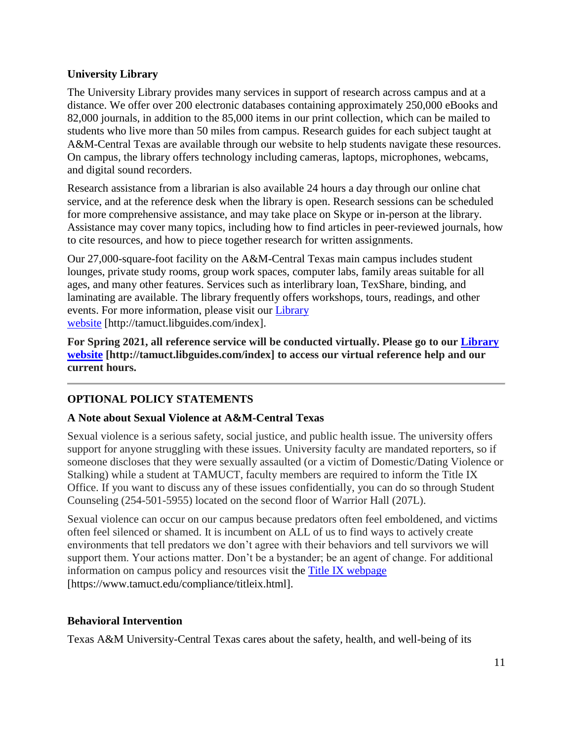#### **University Library**

The University Library provides many services in support of research across campus and at a distance. We offer over 200 electronic databases containing approximately 250,000 eBooks and 82,000 journals, in addition to the 85,000 items in our print collection, which can be mailed to students who live more than 50 miles from campus. Research guides for each subject taught at A&M-Central Texas are available through our website to help students navigate these resources. On campus, the library offers technology including cameras, laptops, microphones, webcams, and digital sound recorders.

Research assistance from a librarian is also available 24 hours a day through our online chat service, and at the reference desk when the library is open. Research sessions can be scheduled for more comprehensive assistance, and may take place on Skype or in-person at the library. Assistance may cover many topics, including how to find articles in peer-reviewed journals, how to cite resources, and how to piece together research for written assignments.

Our 27,000-square-foot facility on the A&M-Central Texas main campus includes student lounges, private study rooms, group work spaces, computer labs, family areas suitable for all ages, and many other features. Services such as interlibrary loan, TexShare, binding, and laminating are available. The library frequently offers workshops, tours, readings, and other events. For more information, please visit our [Library](https://tamuct.libguides.com/index) [website](https://tamuct.libguides.com/index) [http://tamuct.libguides.com/index].

**For Spring 2021, all reference service will be conducted virtually. Please go to our [Library](https://nam04.safelinks.protection.outlook.com/?url=https%3A%2F%2Ftamuct.libguides.com%2Findex&data=04%7C01%7Clisa.bunkowski%40tamuct.edu%7C8242506d517f4275449608d87c521260%7C9eed4e3000f744849ff193ad8005acec%7C0%7C0%7C637396039225117111%7CUnknown%7CTWFpbGZsb3d8eyJWIjoiMC4wLjAwMDAiLCJQIjoiV2luMzIiLCJBTiI6Ik1haWwiLCJXVCI6Mn0%3D%7C1000&sdata=o3Ld7UKky5UoafnKDkA%2BCH9C50eLGHkiCfz7ajI2vRM%3D&reserved=0) [website](https://nam04.safelinks.protection.outlook.com/?url=https%3A%2F%2Ftamuct.libguides.com%2Findex&data=04%7C01%7Clisa.bunkowski%40tamuct.edu%7C8242506d517f4275449608d87c521260%7C9eed4e3000f744849ff193ad8005acec%7C0%7C0%7C637396039225117111%7CUnknown%7CTWFpbGZsb3d8eyJWIjoiMC4wLjAwMDAiLCJQIjoiV2luMzIiLCJBTiI6Ik1haWwiLCJXVCI6Mn0%3D%7C1000&sdata=o3Ld7UKky5UoafnKDkA%2BCH9C50eLGHkiCfz7ajI2vRM%3D&reserved=0) [http://tamuct.libguides.com/index] to access our virtual reference help and our current hours.**

# **OPTIONAL POLICY STATEMENTS**

### **A Note about Sexual Violence at A&M-Central Texas**

Sexual violence is a serious safety, social justice, and public health issue. The university offers support for anyone struggling with these issues. University faculty are mandated reporters, so if someone discloses that they were sexually assaulted (or a victim of Domestic/Dating Violence or Stalking) while a student at TAMUCT, faculty members are required to inform the Title IX Office. If you want to discuss any of these issues confidentially, you can do so through Student Counseling (254-501-5955) located on the second floor of Warrior Hall (207L).

Sexual violence can occur on our campus because predators often feel emboldened, and victims often feel silenced or shamed. It is incumbent on ALL of us to find ways to actively create environments that tell predators we don't agree with their behaviors and tell survivors we will support them. Your actions matter. Don't be a bystander; be an agent of change. For additional information on campus policy and resources visit the [Title IX webpage](https://www.tamuct.edu/compliance/titleix.html) [\[https://www.tamuct.edu/compliance/titleix.html\]](https://www.tamuct.edu/compliance/titleix.html).

#### **Behavioral Intervention**

Texas A&M University-Central Texas cares about the safety, health, and well-being of its